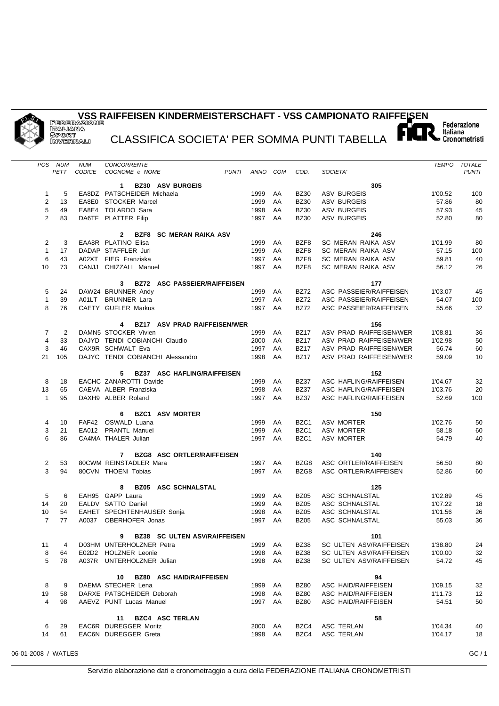## **VSS RAIFFEISEN KINDERMEISTERSCHAFT - VSS CAMPIONATO RAIFFEISEN**

CLASSIFICA SOCIETA' PER SOMMA PUNTI TABELLA

| <b>POS</b>        | NUM            | <b>NUM</b>    | CONCORRENTE                                      |                    |          |                     |                                                    |                    | TEMPO TOTALE |
|-------------------|----------------|---------------|--------------------------------------------------|--------------------|----------|---------------------|----------------------------------------------------|--------------------|--------------|
|                   | <b>PETT</b>    | <b>CODICE</b> | COGNOME e NOME<br><b>PUNTI</b>                   | ANNO COM           |          | COD.                | SOCIETA'                                           |                    | <b>PUNTI</b> |
|                   |                |               | <b>BZ30 ASV BURGEIS</b><br>1                     |                    |          |                     | 305                                                |                    |              |
| 1                 | 5              |               | EA8DZ PATSCHEIDER Michaela                       | 1999               | AA       | <b>BZ30</b>         | <b>ASV BURGEIS</b>                                 | 1'00.52            | 100          |
| $\overline{2}$    | 13             |               | EA8E0 STOCKER Marcel                             | 1999               | AA       | <b>BZ30</b>         | <b>ASV BURGEIS</b>                                 | 57.86              | 80           |
| 5                 | 49             |               | EA8E4 TOLARDO Sara                               | 1998               | AA       | <b>BZ30</b>         | <b>ASV BURGEIS</b>                                 | 57.93              | 45           |
| 2                 | 83             |               | DA6TF PLATTER Filip                              | 1997               | AA       | <b>BZ30</b>         | <b>ASV BURGEIS</b>                                 | 52.80              | 80           |
|                   |                |               |                                                  |                    |          |                     |                                                    |                    |              |
|                   |                |               | <b>BZF8 SC MERAN RAIKA ASV</b><br>$\mathbf{2}$   |                    |          |                     | 246                                                |                    |              |
| 2                 | 3              |               | EAA8R PLATINO Elisa<br>DADAP STAFFLER Juri       | 1999<br>1999       | AA       | BZF8<br>BZF8        | SC MERAN RAIKA ASV<br><b>SC MERAN RAIKA ASV</b>    | 1'01.99<br>57.15   | 80           |
| $\mathbf{1}$<br>6 | 17<br>43       |               | A02XT FIEG Franziska                             | 1997               | AA<br>AA | BZF8                | SC MERAN RAIKA ASV                                 | 59.81              | 100<br>40    |
| 10                | 73             |               | CANJJ CHIZZALI Manuel                            | 1997               | AA       | BZF8                | SC MERAN RAIKA ASV                                 | 56.12              | 26           |
|                   |                |               |                                                  |                    |          |                     |                                                    |                    |              |
|                   |                |               | <b>BZ72 ASC PASSEIER/RAIFFEISEN</b><br>3         |                    |          |                     | 177                                                |                    |              |
| 5                 | 24             |               | DAW24 BRUNNER Andy                               | 1999               | AA       | <b>BZ72</b>         | ASC PASSEIER/RAIFFEISEN                            | 1'03.07            | 45           |
| $\mathbf{1}$      | 39             |               | A01LT BRUNNER Lara                               | 1997               | AA       | <b>BZ72</b>         | ASC PASSEIER/RAIFFEISEN                            | 54.07              | 100          |
| 8                 | 76             |               | CAETY GUFLER Markus                              | 1997               | AA       | <b>BZ72</b>         | ASC PASSEIER/RAIFFEISEN                            | 55.66              | 32           |
|                   |                |               | <b>BZ17 ASV PRAD RAIFFEISEN/WER</b>              |                    |          |                     |                                                    |                    |              |
| 7                 | $\overline{2}$ |               | 4<br>DAMN5 STOCKER Vivien                        | 1999               | AA       | <b>BZ17</b>         | 156<br>ASV PRAD RAIFFEISEN/WER                     | 1'08.81            | 36           |
| $\overline{4}$    | 33             |               | DAJYD TENDI COBIANCHI Claudio                    | 2000               | AA       | <b>BZ17</b>         | ASV PRAD RAIFFEISEN/WER                            | 1'02.98            | 50           |
| 3                 | 46             |               | CAX9R SCHWALT Eva                                | 1997               | AA       | <b>BZ17</b>         | ASV PRAD RAIFFEISEN/WER                            | 56.74              | 60           |
| 21                | 105            |               | DAJYC TENDI COBIANCHI Alessandro                 | 1998               | AA       | <b>BZ17</b>         | ASV PRAD RAIFFEISEN/WER                            | 59.09              | 10           |
|                   |                |               |                                                  |                    |          |                     |                                                    |                    |              |
|                   |                |               | <b>BZ37 ASC HAFLING/RAIFFEISEN</b><br>5          |                    |          |                     | 152                                                |                    |              |
| 8                 | 18             |               | EACHC ZANAROTTI Davide                           | 1999               | AA       | <b>BZ37</b>         | ASC HAFLING/RAIFFEISEN                             | 1'04.67            | 32           |
| 13                | 65             |               | CAEVA ALBER Franziska                            | 1998               | AA       | <b>BZ37</b>         | ASC HAFLING/RAIFFEISEN                             | 1'03.76            | 20           |
| $\mathbf{1}$      | 95             |               | DAXH9 ALBER Roland                               | 1997               | AA       | <b>BZ37</b>         | ASC HAFLING/RAIFFEISEN                             | 52.69              | 100          |
|                   |                |               | <b>BZC1 ASV MORTER</b><br>6                      |                    |          |                     | 150                                                |                    |              |
| 4                 | 10             |               | FAF42 OSWALD Luana                               | 1999               | AA       | BZC1                | <b>ASV MORTER</b>                                  | 1'02.76            | 50           |
| 3                 | 21             |               | EA012 PRANTL Manuel                              | 1999               | AA       | BZC1                | ASV MORTER                                         | 58.18              | 60           |
| 6                 | 86             |               | CA4MA THALER Julian                              | 1997               | AA       | BZC1                | ASV MORTER                                         | 54.79              | 40           |
|                   |                |               |                                                  |                    |          |                     |                                                    |                    |              |
|                   |                |               | <b>BZG8 ASC ORTLER/RAIFFEISEN</b><br>$7^{\circ}$ |                    |          |                     | 140                                                |                    |              |
| 2                 | 53             |               | 80CWM REINSTADLER Mara                           | 1997               | AA       | BZG8                | ASC ORTLER/RAIFFEISEN                              | 56.50              | 80           |
| 3                 | 94             |               | 80CVN THOENI Tobias                              | 1997               | AA       | BZG8                | ASC ORTLER/RAIFFEISEN                              | 52.86              | 60           |
|                   |                |               | <b>BZ05 ASC SCHNALSTAL</b><br>8                  |                    |          |                     | 125                                                |                    |              |
| 5                 | 6              |               | EAH95 GAPP Laura                                 | 1999               | AA       | <b>BZ05</b>         | ASC SCHNALSTAL                                     | 1'02.89            | 45           |
| 14                | 20             |               | EALDV SATTO Daniel                               | 1999               | AA       | <b>BZ05</b>         | ASC SCHNALSTAL                                     | 1'07.22            | 18           |
| 10                | 54             |               | EAHET SPECHTENHAUSER Sonja                       | 1998               | AA       | <b>BZ05</b>         | ASC SCHNALSTAL                                     | 1'01.56            | 26           |
| $\overline{7}$    | 77             | A0037         | OBERHOFER Jonas                                  | 1997               | AA       | <b>BZ05</b>         | ASC SCHNALSTAL                                     | 55.03              | 36           |
|                   |                |               |                                                  |                    |          |                     |                                                    |                    |              |
|                   |                |               | 9 BZ38 SC ULTEN ASV/RAIFFEISEN                   |                    |          |                     | 101                                                |                    |              |
| 11                | 4              |               | D03HM UNTERHOLZNER Petra<br>E02D2 HOLZNER Leonie | 1999 AA            |          | <b>BZ38</b>         | SC ULTEN ASV/RAIFFEISEN                            | 1'38.80            | 24           |
| 8<br>5            | 64<br>78       |               | A037R UNTERHOLZNER Julian                        | 1998 AA<br>1998 AA |          | BZ38<br><b>BZ38</b> | SC ULTEN ASV/RAIFFEISEN<br>SC ULTEN ASV/RAIFFEISEN | 1'00.00<br>54.72   | 32<br>45     |
|                   |                |               |                                                  |                    |          |                     |                                                    |                    |              |
|                   |                |               | <b>BZ80 ASC HAID/RAIFFEISEN</b><br>10            |                    |          |                     | 94                                                 |                    |              |
| 8                 | 9              |               | DAEMA STECHER Lena                               | 1999 AA            |          | <b>BZ80</b>         | ASC HAID/RAIFFEISEN                                | 1'09.15            | 32           |
| 19                | 58             |               | DARXE PATSCHEIDER Deborah                        | 1998               | AA       | <b>BZ80</b>         | ASC HAID/RAIFFEISEN                                | 1'11.73            | 12           |
| 4                 | 98             |               | AAEVZ PUNT Lucas Manuel                          | 1997 AA            |          | <b>BZ80</b>         | ASC HAID/RAIFFEISEN                                | 54.51              | 50           |
|                   |                |               |                                                  |                    |          |                     |                                                    |                    |              |
|                   |                |               | <b>BZC4 ASC TERLAN</b><br>11                     |                    |          |                     | 58                                                 |                    |              |
| 6<br>14           | 29<br>61       |               | EAC6R DUREGGER Moritz<br>EAC6N DUREGGER Greta    | 2000 AA<br>1998 AA |          | BZC4<br>BZC4        | ASC TERLAN<br>ASC TERLAN                           | 1'04.34<br>1'04.17 | 40<br>18     |
|                   |                |               |                                                  |                    |          |                     |                                                    |                    |              |

06-01-2008 / WATLES GC / 1

Federazione<br>Italiana<br>■ Cronometristi

5